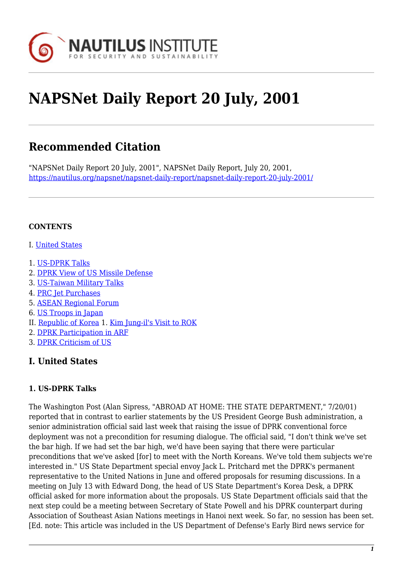

# **NAPSNet Daily Report 20 July, 2001**

# **Recommended Citation**

"NAPSNet Daily Report 20 July, 2001", NAPSNet Daily Report, July 20, 2001, <https://nautilus.org/napsnet/napsnet-daily-report/napsnet-daily-report-20-july-2001/>

#### **CONTENTS**

- I. [United States](#page-0-0)
- 1. [US-DPRK Talks](#page-0-1)
- 2. [DPRK View of US Missile Defense](#page-1-0)
- 3. [US-Taiwan Military Talks](#page-1-1)
- 4. [PRC Jet Purchases](#page-1-2)
- 5. [ASEAN Regional Forum](#page-2-0)
- 6. [US Troops in Japan](#page-2-1)
- II. [Republic of Korea](#page-3-0) 1. [Kim Jung-il's Visit to ROK](#page-3-1)
- 2. [DPRK Participation in ARF](#page-3-2)
- 3. [DPRK Criticism of US](#page-3-3)

# <span id="page-0-0"></span>**I. United States**

#### <span id="page-0-1"></span>**1. US-DPRK Talks**

The Washington Post (Alan Sipress, "ABROAD AT HOME: THE STATE DEPARTMENT," 7/20/01) reported that in contrast to earlier statements by the US President George Bush administration, a senior administration official said last week that raising the issue of DPRK conventional force deployment was not a precondition for resuming dialogue. The official said, "I don't think we've set the bar high. If we had set the bar high, we'd have been saying that there were particular preconditions that we've asked [for] to meet with the North Koreans. We've told them subjects we're interested in." US State Department special envoy Jack L. Pritchard met the DPRK's permanent representative to the United Nations in June and offered proposals for resuming discussions. In a meeting on July 13 with Edward Dong, the head of US State Department's Korea Desk, a DPRK official asked for more information about the proposals. US State Department officials said that the next step could be a meeting between Secretary of State Powell and his DPRK counterpart during Association of Southeast Asian Nations meetings in Hanoi next week. So far, no session has been set. [Ed. note: This article was included in the US Department of Defense's Early Bird news service for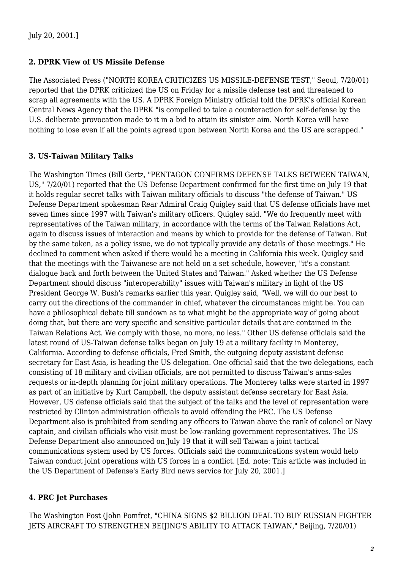#### <span id="page-1-0"></span>**2. DPRK View of US Missile Defense**

The Associated Press ("NORTH KOREA CRITICIZES US MISSILE-DEFENSE TEST," Seoul, 7/20/01) reported that the DPRK criticized the US on Friday for a missile defense test and threatened to scrap all agreements with the US. A DPRK Foreign Ministry official told the DPRK's official Korean Central News Agency that the DPRK "is compelled to take a counteraction for self-defense by the U.S. deliberate provocation made to it in a bid to attain its sinister aim. North Korea will have nothing to lose even if all the points agreed upon between North Korea and the US are scrapped."

#### <span id="page-1-1"></span>**3. US-Taiwan Military Talks**

The Washington Times (Bill Gertz, "PENTAGON CONFIRMS DEFENSE TALKS BETWEEN TAIWAN, US," 7/20/01) reported that the US Defense Department confirmed for the first time on July 19 that it holds regular secret talks with Taiwan military officials to discuss "the defense of Taiwan." US Defense Department spokesman Rear Admiral Craig Quigley said that US defense officials have met seven times since 1997 with Taiwan's military officers. Quigley said, "We do frequently meet with representatives of the Taiwan military, in accordance with the terms of the Taiwan Relations Act, again to discuss issues of interaction and means by which to provide for the defense of Taiwan. But by the same token, as a policy issue, we do not typically provide any details of those meetings." He declined to comment when asked if there would be a meeting in California this week. Quigley said that the meetings with the Taiwanese are not held on a set schedule, however, "it's a constant dialogue back and forth between the United States and Taiwan." Asked whether the US Defense Department should discuss "interoperability" issues with Taiwan's military in light of the US President George W. Bush's remarks earlier this year, Quigley said, "Well, we will do our best to carry out the directions of the commander in chief, whatever the circumstances might be. You can have a philosophical debate till sundown as to what might be the appropriate way of going about doing that, but there are very specific and sensitive particular details that are contained in the Taiwan Relations Act. We comply with those, no more, no less." Other US defense officials said the latest round of US-Taiwan defense talks began on July 19 at a military facility in Monterey, California. According to defense officials, Fred Smith, the outgoing deputy assistant defense secretary for East Asia, is heading the US delegation. One official said that the two delegations, each consisting of 18 military and civilian officials, are not permitted to discuss Taiwan's arms-sales requests or in-depth planning for joint military operations. The Monterey talks were started in 1997 as part of an initiative by Kurt Campbell, the deputy assistant defense secretary for East Asia. However, US defense officials said that the subject of the talks and the level of representation were restricted by Clinton administration officials to avoid offending the PRC. The US Defense Department also is prohibited from sending any officers to Taiwan above the rank of colonel or Navy captain, and civilian officials who visit must be low-ranking government representatives. The US Defense Department also announced on July 19 that it will sell Taiwan a joint tactical communications system used by US forces. Officials said the communications system would help Taiwan conduct joint operations with US forces in a conflict. [Ed. note: This article was included in the US Department of Defense's Early Bird news service for July 20, 2001.]

#### <span id="page-1-2"></span>**4. PRC Jet Purchases**

The Washington Post (John Pomfret, "CHINA SIGNS \$2 BILLION DEAL TO BUY RUSSIAN FIGHTER JETS AIRCRAFT TO STRENGTHEN BEIJING'S ABILITY TO ATTACK TAIWAN," Beijing, 7/20/01)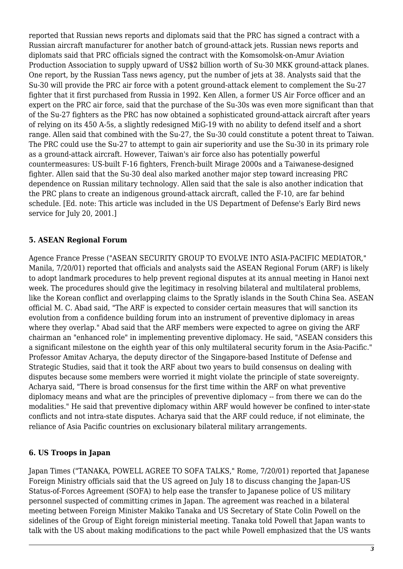reported that Russian news reports and diplomats said that the PRC has signed a contract with a Russian aircraft manufacturer for another batch of ground-attack jets. Russian news reports and diplomats said that PRC officials signed the contract with the Komsomolsk-on-Amur Aviation Production Association to supply upward of US\$2 billion worth of Su-30 MKK ground-attack planes. One report, by the Russian Tass news agency, put the number of jets at 38. Analysts said that the Su-30 will provide the PRC air force with a potent ground-attack element to complement the Su-27 fighter that it first purchased from Russia in 1992. Ken Allen, a former US Air Force officer and an expert on the PRC air force, said that the purchase of the Su-30s was even more significant than that of the Su-27 fighters as the PRC has now obtained a sophisticated ground-attack aircraft after years of relying on its 450 A-5s, a slightly redesigned MiG-19 with no ability to defend itself and a short range. Allen said that combined with the Su-27, the Su-30 could constitute a potent threat to Taiwan. The PRC could use the Su-27 to attempt to gain air superiority and use the Su-30 in its primary role as a ground-attack aircraft. However, Taiwan's air force also has potentially powerful countermeasures: US-built F-16 fighters, French-built Mirage 2000s and a Taiwanese-designed fighter. Allen said that the Su-30 deal also marked another major step toward increasing PRC dependence on Russian military technology. Allen said that the sale is also another indication that the PRC plans to create an indigenous ground-attack aircraft, called the F-10, are far behind schedule. [Ed. note: This article was included in the US Department of Defense's Early Bird news service for July 20, 2001.]

## <span id="page-2-0"></span>**5. ASEAN Regional Forum**

Agence France Presse ("ASEAN SECURITY GROUP TO EVOLVE INTO ASIA-PACIFIC MEDIATOR," Manila, 7/20/01) reported that officials and analysts said the ASEAN Regional Forum (ARF) is likely to adopt landmark procedures to help prevent regional disputes at its annual meeting in Hanoi next week. The procedures should give the legitimacy in resolving bilateral and multilateral problems, like the Korean conflict and overlapping claims to the Spratly islands in the South China Sea. ASEAN official M. C. Abad said, "The ARF is expected to consider certain measures that will sanction its evolution from a confidence building forum into an instrument of preventive diplomacy in areas where they overlap." Abad said that the ARF members were expected to agree on giving the ARF chairman an "enhanced role" in implementing preventive diplomacy. He said, "ASEAN considers this a significant milestone on the eighth year of this only multilateral security forum in the Asia-Pacific." Professor Amitav Acharya, the deputy director of the Singapore-based Institute of Defense and Strategic Studies, said that it took the ARF about two years to build consensus on dealing with disputes because some members were worried it might violate the principle of state sovereignty. Acharya said, "There is broad consensus for the first time within the ARF on what preventive diplomacy means and what are the principles of preventive diplomacy -- from there we can do the modalities." He said that preventive diplomacy within ARF would however be confined to inter-state conflicts and not intra-state disputes. Acharya said that the ARF could reduce, if not eliminate, the reliance of Asia Pacific countries on exclusionary bilateral military arrangements.

# <span id="page-2-1"></span>**6. US Troops in Japan**

Japan Times ("TANAKA, POWELL AGREE TO SOFA TALKS," Rome, 7/20/01) reported that Japanese Foreign Ministry officials said that the US agreed on July 18 to discuss changing the Japan-US Status-of-Forces Agreement (SOFA) to help ease the transfer to Japanese police of US military personnel suspected of committing crimes in Japan. The agreement was reached in a bilateral meeting between Foreign Minister Makiko Tanaka and US Secretary of State Colin Powell on the sidelines of the Group of Eight foreign ministerial meeting. Tanaka told Powell that Japan wants to talk with the US about making modifications to the pact while Powell emphasized that the US wants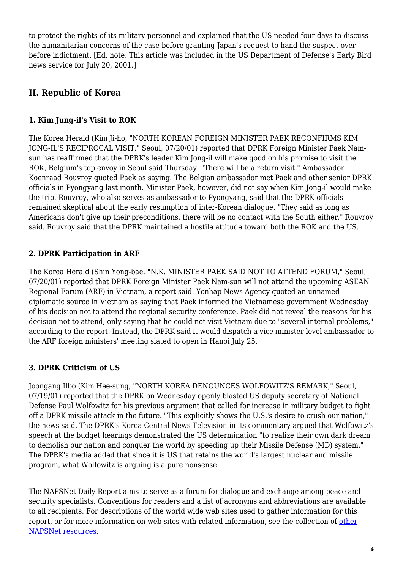to protect the rights of its military personnel and explained that the US needed four days to discuss the humanitarian concerns of the case before granting Japan's request to hand the suspect over before indictment. [Ed. note: This article was included in the US Department of Defense's Early Bird news service for July 20, 2001.]

# <span id="page-3-0"></span>**II. Republic of Korea**

# <span id="page-3-1"></span>**1. Kim Jung-il's Visit to ROK**

The Korea Herald (Kim Ji-ho, "NORTH KOREAN FOREIGN MINISTER PAEK RECONFIRMS KIM JONG-IL'S RECIPROCAL VISIT," Seoul, 07/20/01) reported that DPRK Foreign Minister Paek Namsun has reaffirmed that the DPRK's leader Kim Jong-il will make good on his promise to visit the ROK, Belgium's top envoy in Seoul said Thursday. "There will be a return visit," Ambassador Koenraad Rouvroy quoted Paek as saying. The Belgian ambassador met Paek and other senior DPRK officials in Pyongyang last month. Minister Paek, however, did not say when Kim Jong-il would make the trip. Rouvroy, who also serves as ambassador to Pyongyang, said that the DPRK officials remained skeptical about the early resumption of inter-Korean dialogue. "They said as long as Americans don't give up their preconditions, there will be no contact with the South either," Rouvroy said. Rouvroy said that the DPRK maintained a hostile attitude toward both the ROK and the US.

# <span id="page-3-2"></span>**2. DPRK Participation in ARF**

The Korea Herald (Shin Yong-bae, "N.K. MINISTER PAEK SAID NOT TO ATTEND FORUM," Seoul, 07/20/01) reported that DPRK Foreign Minister Paek Nam-sun will not attend the upcoming ASEAN Regional Forum (ARF) in Vietnam, a report said. Yonhap News Agency quoted an unnamed diplomatic source in Vietnam as saying that Paek informed the Vietnamese government Wednesday of his decision not to attend the regional security conference. Paek did not reveal the reasons for his decision not to attend, only saying that he could not visit Vietnam due to "several internal problems," according to the report. Instead, the DPRK said it would dispatch a vice minister-level ambassador to the ARF foreign ministers' meeting slated to open in Hanoi July 25.

## <span id="page-3-3"></span>**3. DPRK Criticism of US**

Joongang Ilbo (Kim Hee-sung, "NORTH KOREA DENOUNCES WOLFOWITZ'S REMARK," Seoul, 07/19/01) reported that the DPRK on Wednesday openly blasted US deputy secretary of National Defense Paul Wolfowitz for his previous argument that called for increase in military budget to fight off a DPRK missile attack in the future. "This explicitly shows the U.S.'s desire to crush our nation," the news said. The DPRK's Korea Central News Television in its commentary argued that Wolfowitz's speech at the budget hearings demonstrated the US determination "to realize their own dark dream to demolish our nation and conquer the world by speeding up their Missile Defense (MD) system." The DPRK's media added that since it is US that retains the world's largest nuclear and missile program, what Wolfowitz is arguing is a pure nonsense.

The NAPSNet Daily Report aims to serve as a forum for dialogue and exchange among peace and security specialists. Conventions for readers and a list of acronyms and abbreviations are available to all recipients. For descriptions of the world wide web sites used to gather information for this report, or for more information on web sites with related information, see the collection of [other](http://nautilus.org/kiosk/weblinks.html) [NAPSNet resources.](http://nautilus.org/kiosk/weblinks.html)